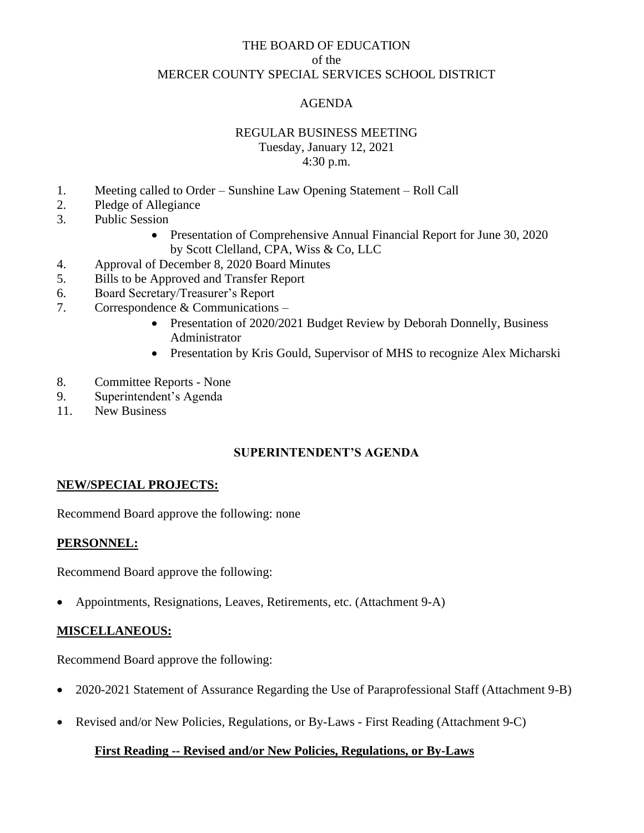## THE BOARD OF EDUCATION of the MERCER COUNTY SPECIAL SERVICES SCHOOL DISTRICT

## AGENDA

#### REGULAR BUSINESS MEETING

Tuesday, January 12, 2021 4:30 p.m.

- 1. Meeting called to Order Sunshine Law Opening Statement Roll Call
- 2. Pledge of Allegiance
- 3. Public Session
	- Presentation of Comprehensive Annual Financial Report for June 30, 2020 by Scott Clelland, CPA, Wiss & Co, LLC
- 4. Approval of December 8, 2020 Board Minutes
- 5. Bills to be Approved and Transfer Report
- 6. Board Secretary/Treasurer's Report
- 7. Correspondence & Communications
	- Presentation of 2020/2021 Budget Review by Deborah Donnelly, Business Administrator
	- Presentation by Kris Gould, Supervisor of MHS to recognize Alex Micharski
- 8. Committee Reports None
- 9. Superintendent's Agenda
- 11. New Business

# **SUPERINTENDENT'S AGENDA**

### **NEW/SPECIAL PROJECTS:**

Recommend Board approve the following: none

### **PERSONNEL:**

Recommend Board approve the following:

• Appointments, Resignations, Leaves, Retirements, etc. (Attachment 9-A)

### **MISCELLANEOUS:**

Recommend Board approve the following:

- 2020-2021 Statement of Assurance Regarding the Use of Paraprofessional Staff (Attachment 9-B)
- Revised and/or New Policies, Regulations, or By-Laws First Reading (Attachment 9-C)

### **First Reading -- Revised and/or New Policies, Regulations, or By-Laws**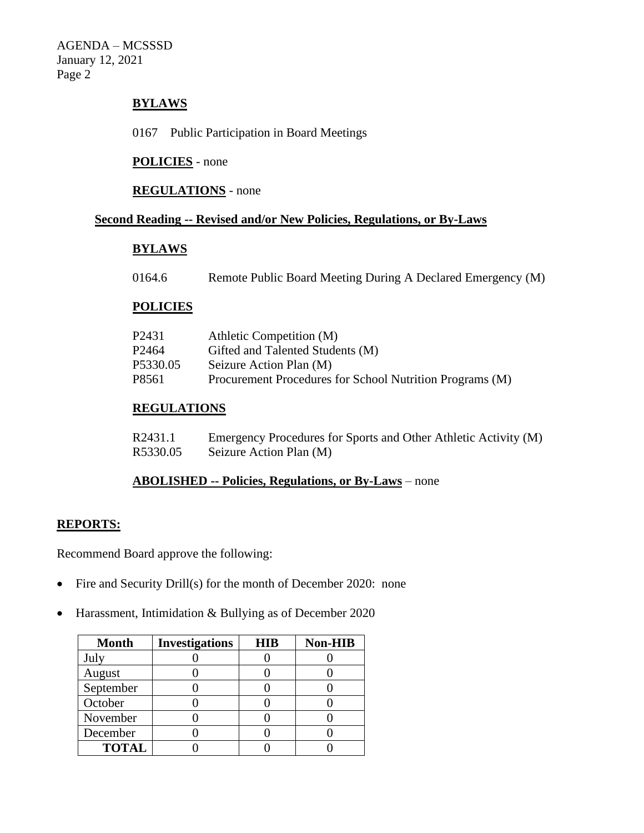AGENDA – MCSSSD January 12, 2021 Page 2

## **BYLAWS**

0167 Public Participation in Board Meetings

#### **POLICIES** - none

### **REGULATIONS** - none

## **Second Reading -- Revised and/or New Policies, Regulations, or By-Laws**

#### **BYLAWS**

0164.6 Remote Public Board Meeting During A Declared Emergency (M)

#### **POLICIES**

| P2431    | Athletic Competition (M)                                 |
|----------|----------------------------------------------------------|
| P2464    | Gifted and Talented Students (M)                         |
| P5330.05 | Seizure Action Plan (M)                                  |
| P8561    | Procurement Procedures for School Nutrition Programs (M) |
|          |                                                          |

# **REGULATIONS**

| R2431.1  | Emergency Procedures for Sports and Other Athletic Activity (M) |
|----------|-----------------------------------------------------------------|
| R5330.05 | Seizure Action Plan (M)                                         |

#### **ABOLISHED -- Policies, Regulations, or By-Laws** – none

## **REPORTS:**

Recommend Board approve the following:

- Fire and Security Drill(s) for the month of December 2020: none
- Harassment, Intimidation & Bullying as of December 2020

| <b>Month</b> | <b>Investigations</b> | <b>HIB</b> | <b>Non-HIB</b> |
|--------------|-----------------------|------------|----------------|
| July         |                       |            |                |
| August       |                       |            |                |
| September    |                       |            |                |
| October      |                       |            |                |
| November     |                       |            |                |
| December     |                       |            |                |
| <b>TOTAL</b> |                       |            |                |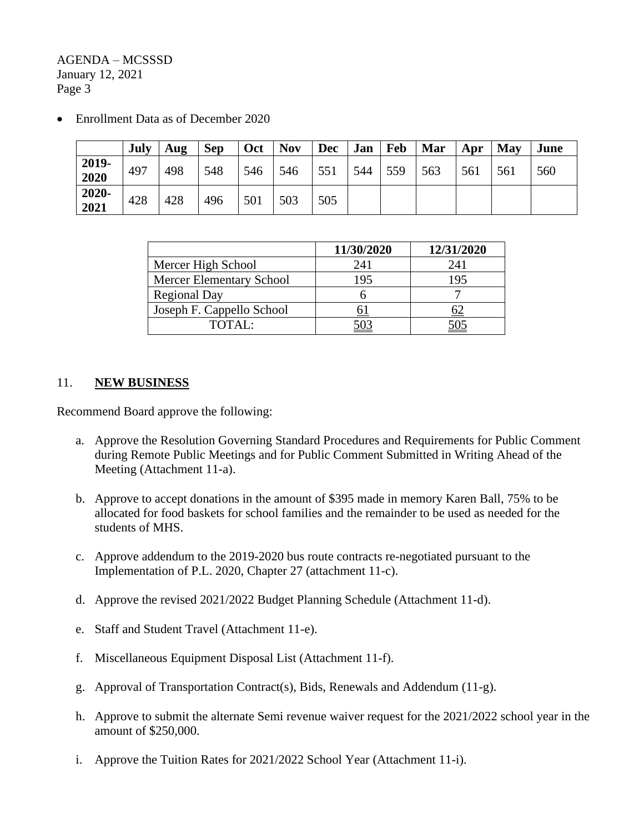AGENDA – MCSSSD January 12, 2021 Page 3

• Enrollment Data as of December 2020

|               | July | Aug | <b>Sep</b> | Oct | <b>Nov</b> | <b>Dec</b> | Jan | Feb | Mar | Apr | May | June |
|---------------|------|-----|------------|-----|------------|------------|-----|-----|-----|-----|-----|------|
| 2019-<br>2020 | 497  | 498 | 548        | 546 | 546        | 551        | 544 | 559 | 563 | 561 | 561 | 560  |
| 2020-<br>2021 | 428  | 428 | 496        | 501 | 503        | 505        |     |     |     |     |     |      |

|                                 | 11/30/2020 | 12/31/2020 |
|---------------------------------|------------|------------|
| Mercer High School              | 241        | 241        |
| <b>Mercer Elementary School</b> | 195        | 195        |
| <b>Regional Day</b>             |            |            |
| Joseph F. Cappello School       |            |            |
| $\text{TOTAI}:$                 |            |            |

## 11. **NEW BUSINESS**

Recommend Board approve the following:

- a. Approve the Resolution Governing Standard Procedures and Requirements for Public Comment during Remote Public Meetings and for Public Comment Submitted in Writing Ahead of the Meeting (Attachment 11-a).
- b. Approve to accept donations in the amount of \$395 made in memory Karen Ball, 75% to be allocated for food baskets for school families and the remainder to be used as needed for the students of MHS.
- c. Approve addendum to the 2019-2020 bus route contracts re-negotiated pursuant to the Implementation of P.L. 2020, Chapter 27 (attachment 11-c).
- d. Approve the revised 2021/2022 Budget Planning Schedule (Attachment 11-d).
- e. Staff and Student Travel (Attachment 11-e).
- f. Miscellaneous Equipment Disposal List (Attachment 11-f).
- g. Approval of Transportation Contract(s), Bids, Renewals and Addendum (11-g).
- h. Approve to submit the alternate Semi revenue waiver request for the 2021/2022 school year in the amount of \$250,000.
- i. Approve the Tuition Rates for 2021/2022 School Year (Attachment 11-i).